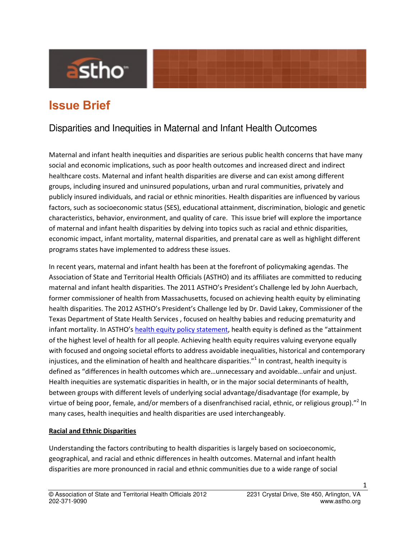

# **Issue Brief**

# Disparities and Inequities in Maternal and Infant Health Outcomes

Maternal and infant health inequities and disparities are serious public health concerns that have many social and economic implications, such as poor health outcomes and increased direct and indirect healthcare costs. Maternal and infant health disparities are diverse and can exist among different groups, including insured and uninsured populations, urban and rural communities, privately and publicly insured individuals, and racial or ethnic minorities. Health disparities are influenced by various factors, such as socioeconomic status (SES), educational attainment, discrimination, biologic and genetic characteristics, behavior, environment, and quality of care. This issue brief will explore the importance of maternal and infant health disparities by delving into topics such as racial and ethnic disparities, economic impact, infant mortality, maternal disparities, and prenatal care as well as highlight different programs states have implemented to address these issues.

In recent years, maternal and infant health has been at the forefront of policymaking agendas. The Association of State and Territorial Health Officials (ASTHO) and its affiliates are committed to reducing maternal and infant health disparities. The 2011 ASTHO's President's Challenge led by John Auerbach, former commissioner of health from Massachusetts, focused on achieving health equity by eliminating health disparities. The 2012 ASTHO's President's Challenge led by Dr. David Lakey, Commissioner of the Texas Department of State Health Services , focused on healthy babies and reducing prematurity and infant mortality. In ASTHO's [health equity policy statement,](http://www.astho.org/Display/AssetDisplay.aspx?id=6874) health equity is defined as the "attainment of the highest level of health for all people. Achieving health equity requires valuing everyone equally with focused and ongoing societal efforts to address avoidable inequalities, historical and contemporary injustices, and the elimination of health and healthcare disparities."<sup>1</sup> In contrast, health inequity is defined as "differences in health outcomes which are…unnecessary and avoidable…unfair and unjust. Health inequities are systematic disparities in health, or in the major social determinants of health, between groups with different levels of underlying social advantage/disadvantage (for example, by virtue of being poor, female, and/or members of a disenfranchised racial, ethnic, or religious group)."<sup>2</sup> In many cases, health inequities and health disparities are used interchangeably.

#### **Racial and Ethnic Disparities**

Understanding the factors contributing to health disparities is largely based on socioeconomic, geographical, and racial and ethnic differences in health outcomes. Maternal and infant health disparities are more pronounced in racial and ethnic communities due to a wide range of social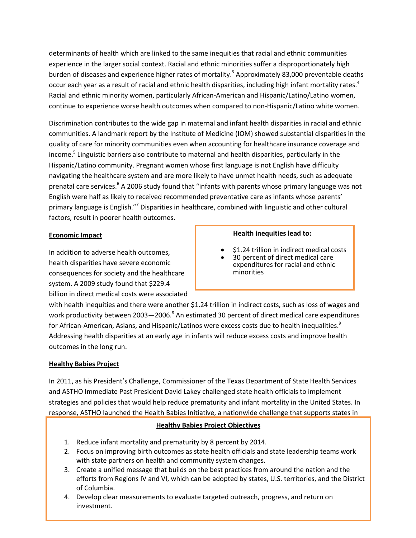determinants of health which are linked to the same inequities that racial and ethnic communities experience in the larger social context. Racial and ethnic minorities suffer a disproportionately high burden of diseases and experience higher rates of mortality.<sup>3</sup> Approximately 83,000 preventable deaths occur each year as a result of racial and ethnic health disparities, including high infant mortality rates.<sup>4</sup> Racial and ethnic minority women, particularly African-American and Hispanic/Latino/Latino women, continue to experience worse health outcomes when compared to non-Hispanic/Latino white women.

Discrimination contributes to the wide gap in maternal and infant health disparities in racial and ethnic communities. A landmark report by the Institute of Medicine (IOM) showed substantial disparities in the quality of care for minority communities even when accounting for healthcare insurance coverage and income.<sup>5</sup> Linguistic barriers also contribute to maternal and health disparities, particularly in the Hispanic/Latino community. Pregnant women whose first language is not English have difficulty navigating the healthcare system and are more likely to have unmet health needs, such as adequate prenatal care services.<sup>6</sup> A 2006 study found that "infants with parents whose primary language was not English were half as likely to received recommended preventative care as infants whose parents' primary language is English."<sup>7</sup> Disparities in healthcare, combined with linguistic and other cultural factors, result in poorer health outcomes.

#### **Economic Impact**

In addition to adverse health outcomes, health disparities have severe economic consequences for society and the healthcare system. A 2009 study found that \$229.4 billion in direct medical costs were associated

#### **Health inequities lead to:**

- \$1.24 trillion in indirect medical costs
- 30 percent of direct medical care expenditures for racial and ethnic minorities

with health inequities and there were another \$1.24 trillion in indirect costs, such as loss of wages and work productivity between 2003–2006. $^8$  An estimated 30 percent of direct medical care expenditures for African-American, Asians, and Hispanic/Latinos were excess costs due to health inequalities.<sup>9</sup> Addressing health disparities at an early age in infants will reduce excess costs and improve health outcomes in the long run.

#### **Healthy Babies Project**

In 2011, as his President's Challenge, Commissioner of the Texas Department of State Health Services and ASTHO Immediate Past President David Lakey challenged state health officials to implement strategies and policies that would help reduce prematurity and infant mortality in the United States. In response, ASTHO launched the Health Babies Initiative, a nationwide challenge that supports states in

#### **Healthy Babies Project Objectives**

- 1. Reduce infant mortality and prematurity by 8 percent by 2014.
- 2. Focus on improving birth outcomes as state health officials and state leadership teams work with state partners on health and community system changes.
- 3. Create a unified message that builds on the best practices from around the nation and the efforts from Regions IV and VI, which can be adopted by states, U.S. territories, and the District of Columbia.
- © Association of State and Territorial Health Officials 2012 2231 Crystal Drive, Ste 450, Arlington, VA 4. Develop clear measurements to evaluate targeted outreach, progress, and return on investment.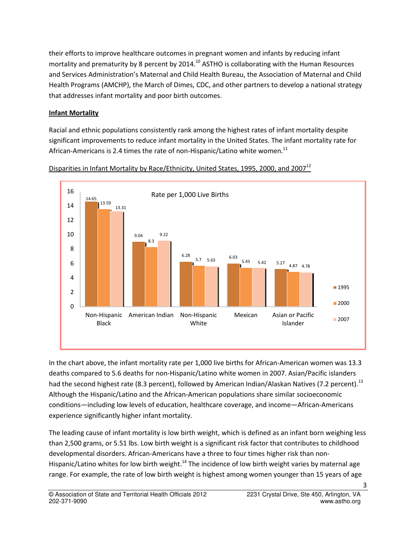their efforts to improve healthcare outcomes in pregnant women and infants by reducing infant mortality and prematurity by 8 percent by 2014.<sup>10</sup> ASTHO is collaborating with the Human Resources and Services Administration's Maternal and Child Health Bureau, the Association of Maternal and Child Health Programs (AMCHP), the March of Dimes, CDC, and other partners to develop a national strategy that addresses infant mortality and poor birth outcomes.

## **Infant Mortality**

Racial and ethnic populations consistently rank among the highest rates of infant mortality despite significant improvements to reduce infant mortality in the United States. The infant mortality rate for African-Americans is 2.4 times the rate of non-Hispanic/Latino white women.<sup>11</sup>



Disparities in Infant Mortality by Race/Ethnicity, United States, 1995, 2000, and 2007<sup>12</sup>

In the chart above, the infant mortality rate per 1,000 live births for African-American women was 13.3 deaths compared to 5.6 deaths for non-Hispanic/Latino white women in 2007. Asian/Pacific islanders had the second highest rate (8.3 percent), followed by American Indian/Alaskan Natives (7.2 percent).<sup>13</sup> Although the Hispanic/Latino and the African-American populations share similar socioeconomic conditions—including low levels of education, healthcare coverage, and income—African-Americans experience significantly higher infant mortality.

The leading cause of infant mortality is low birth weight, which is defined as an infant born weighing less than 2,500 grams, or 5.51 lbs. Low birth weight is a significant risk factor that contributes to childhood developmental disorders. African-Americans have a three to four times higher risk than non-Hispanic/Latino whites for low birth weight.<sup>14</sup> The incidence of low birth weight varies by maternal age range. For example, the rate of low birth weight is highest among women younger than 15 years of age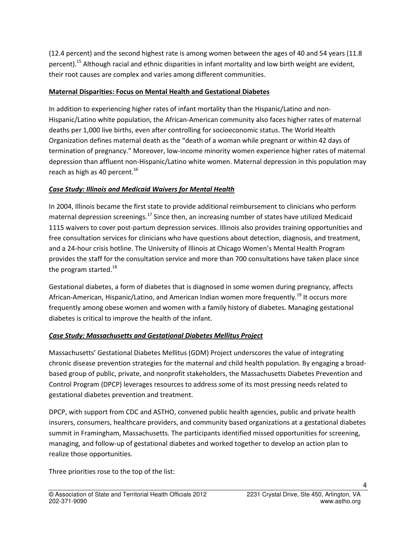(12.4 percent) and the second highest rate is among women between the ages of 40 and 54 years (11.8 percent).<sup>15</sup> Although racial and ethnic disparities in infant mortality and low birth weight are evident, their root causes are complex and varies among different communities.

#### **Maternal Disparities: Focus on Mental Health and Gestational Diabetes**

In addition to experiencing higher rates of infant mortality than the Hispanic/Latino and non-Hispanic/Latino white population, the African-American community also faces higher rates of maternal deaths per 1,000 live births, even after controlling for socioeconomic status. The World Health Organization defines maternal death as the "death of a woman while pregnant or within 42 days of termination of pregnancy." Moreover, low-income minority women experience higher rates of maternal depression than affluent non-Hispanic/Latino white women. Maternal depression in this population may reach as high as 40 percent.<sup>16</sup>

#### *Case Study: Illinois and Medicaid Waivers for Mental Health*

In 2004, Illinois became the first state to provide additional reimbursement to clinicians who perform maternal depression screenings.<sup>17</sup> Since then, an increasing number of states have utilized Medicaid 1115 waivers to cover post-partum depression services. Illinois also provides training opportunities and free consultation services for clinicians who have questions about detection, diagnosis, and treatment, and a 24-hour crisis hotline. The University of Illinois at Chicago Women's Mental Health Program provides the staff for the consultation service and more than 700 consultations have taken place since the program started.<sup>18</sup>

Gestational diabetes, a form of diabetes that is diagnosed in some women during pregnancy, affects African-American, Hispanic/Latino, and American Indian women more frequently.<sup>19</sup> It occurs more frequently among obese women and women with a family history of diabetes. Managing gestational diabetes is critical to improve the health of the infant.

#### *Case Study: Massachusetts and Gestational Diabetes Mellitus Project*

Massachusetts' Gestational Diabetes Mellitus (GDM) Project underscores the value of integrating chronic disease prevention strategies for the maternal and child health population. By engaging a broadbased group of public, private, and nonprofit stakeholders, the Massachusetts Diabetes Prevention and Control Program (DPCP) leverages resources to address some of its most pressing needs related to gestational diabetes prevention and treatment.

DPCP, with support from CDC and ASTHO, convened public health agencies, public and private health insurers, consumers, healthcare providers, and community based organizations at a gestational diabetes summit in Framingham, Massachusetts. The participants identified missed opportunities for screening, managing, and follow-up of gestational diabetes and worked together to develop an action plan to realize those opportunities.

Three priorities rose to the top of the list: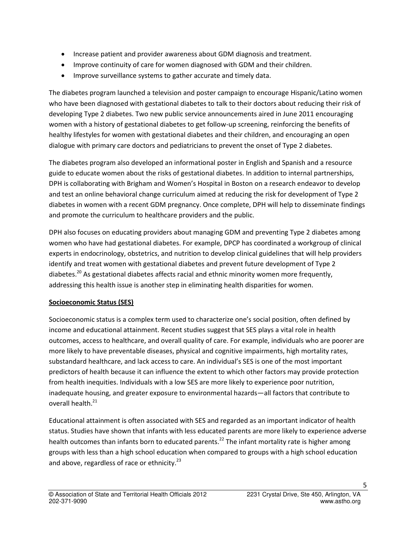- Increase patient and provider awareness about GDM diagnosis and treatment.
- Improve continuity of care for women diagnosed with GDM and their children.
- **IMPROVE SURIVELLANCE SYSTEMS TO gather accurate and timely data.**

The diabetes program launched a television and poster campaign to encourage Hispanic/Latino women who have been diagnosed with gestational diabetes to talk to their doctors about reducing their risk of developing Type 2 diabetes. Two new public service announcements aired in June 2011 encouraging women with a history of gestational diabetes to get follow-up screening, reinforcing the benefits of healthy lifestyles for women with gestational diabetes and their children, and encouraging an open dialogue with primary care doctors and pediatricians to prevent the onset of Type 2 diabetes.

The diabetes program also developed an informational poster in English and Spanish and a resource guide to educate women about the risks of gestational diabetes. In addition to internal partnerships, DPH is collaborating with Brigham and Women's Hospital in Boston on a research endeavor to develop and test an online behavioral change curriculum aimed at reducing the risk for development of Type 2 diabetes in women with a recent GDM pregnancy. Once complete, DPH will help to disseminate findings and promote the curriculum to healthcare providers and the public.

DPH also focuses on educating providers about managing GDM and preventing Type 2 diabetes among women who have had gestational diabetes. For example, DPCP has coordinated a workgroup of clinical experts in endocrinology, obstetrics, and nutrition to develop clinical guidelines that will help providers identify and treat women with gestational diabetes and prevent future development of Type 2 diabetes.<sup>20</sup> As gestational diabetes affects racial and ethnic minority women more frequently, addressing this health issue is another step in eliminating health disparities for women.

# **Socioeconomic Status (SES)**

Socioeconomic status is a complex term used to characterize one's social position, often defined by income and educational attainment. Recent studies suggest that SES plays a vital role in health outcomes, access to healthcare, and overall quality of care. For example, individuals who are poorer are more likely to have preventable diseases, physical and cognitive impairments, high mortality rates, substandard healthcare, and lack access to care. An individual's SES is one of the most important predictors of health because it can influence the extent to which other factors may provide protection from health inequities. Individuals with a low SES are more likely to experience poor nutrition, inadequate housing, and greater exposure to environmental hazards—all factors that contribute to overall health.<sup>21</sup>

Educational attainment is often associated with SES and regarded as an important indicator of health status. Studies have shown that infants with less educated parents are more likely to experience adverse health outcomes than infants born to educated parents.<sup>22</sup> The infant mortality rate is higher among groups with less than a high school education when compared to groups with a high school education and above, regardless of race or ethnicity. $^{23}$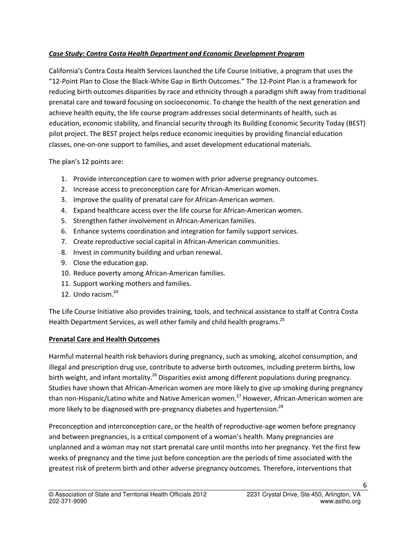#### *Case Study: Contra Costa Health Department and Economic Development Program*

California's Contra Costa Health Services launched the Life Course Initiative, a program that uses the "12-Point Plan to Close the Black-White Gap in Birth Outcomes." The 12-Point Plan is a framework for reducing birth outcomes disparities by race and ethnicity through a paradigm shift away from traditional prenatal care and toward focusing on socioeconomic. To change the health of the next generation and achieve health equity, the life course program addresses social determinants of health, such as education, economic stability, and financial security through its Building Economic Security Today (BEST) pilot project. The BEST project helps reduce economic inequities by providing financial education classes, one-on-one support to families, and asset development educational materials.

The plan's 12 points are:

- 1. Provide interconception care to women with prior adverse pregnancy outcomes.
- 2. Increase access to preconception care for African-American women.
- 3. Improve the quality of prenatal care for African-American women.
- 4. Expand healthcare access over the life course for African-American women.
- 5. Strengthen father involvement in African-American families.
- 6. Enhance systems coordination and integration for family support services.
- 7. Create reproductive social capital in African-American communities.
- 8. Invest in community building and urban renewal.
- 9. Close the education gap.
- 10. Reduce poverty among African-American families.
- 11. Support working mothers and families.
- 12. Undo racism. $^{24}$

The Life Course Initiative also provides training, tools, and technical assistance to staff at Contra Costa Health Department Services, as well other family and child health programs.<sup>25</sup>

#### **Prenatal Care and Health Outcomes**

Harmful maternal health risk behaviors during pregnancy, such as smoking, alcohol consumption, and illegal and prescription drug use, contribute to adverse birth outcomes, including preterm births, low birth weight, and infant mortality.<sup>26</sup> Disparities exist among different populations during pregnancy. Studies have shown that African-American women are more likely to give up smoking during pregnancy than non-Hispanic/Latino white and Native American women.<sup>27</sup> However, African-American women are more likely to be diagnosed with pre-pregnancy diabetes and hypertension.<sup>28</sup>

Preconception and interconception care, or the health of reproductive-age women before pregnancy and between pregnancies, is a critical component of a woman's health. Many pregnancies are unplanned and a woman may not start prenatal care until months into her pregnancy. Yet the first few weeks of pregnancy and the time just before conception are the periods of time associated with the greatest risk of preterm birth and other adverse pregnancy outcomes. Therefore, interventions that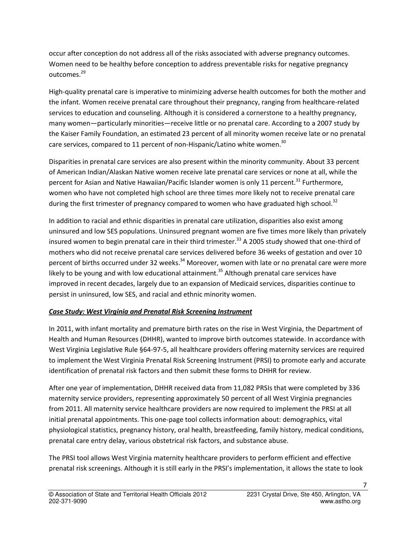occur after conception do not address all of the risks associated with adverse pregnancy outcomes. Women need to be healthy before conception to address preventable risks for negative pregnancy outcomes.<sup>29</sup>

High-quality prenatal care is imperative to minimizing adverse health outcomes for both the mother and the infant. Women receive prenatal care throughout their pregnancy, ranging from healthcare-related services to education and counseling. Although it is considered a cornerstone to a healthy pregnancy, many women—particularly minorities—receive little or no prenatal care. According to a 2007 study by the Kaiser Family Foundation, an estimated 23 percent of all minority women receive late or no prenatal care services, compared to 11 percent of non-Hispanic/Latino white women.<sup>30</sup>

Disparities in prenatal care services are also present within the minority community. About 33 percent of American Indian/Alaskan Native women receive late prenatal care services or none at all, while the percent for Asian and Native Hawaiian/Pacific Islander women is only 11 percent.<sup>31</sup> Furthermore, women who have not completed high school are three times more likely not to receive prenatal care during the first trimester of pregnancy compared to women who have graduated high school.<sup>32</sup>

In addition to racial and ethnic disparities in prenatal care utilization, disparities also exist among uninsured and low SES populations. Uninsured pregnant women are five times more likely than privately insured women to begin prenatal care in their third trimester.<sup>33</sup> A 2005 study showed that one-third of mothers who did not receive prenatal care services delivered before 36 weeks of gestation and over 10 percent of births occurred under 32 weeks.<sup>34</sup> Moreover, women with late or no prenatal care were more likely to be young and with low educational attainment.<sup>35</sup> Although prenatal care services have improved in recent decades, largely due to an expansion of Medicaid services, disparities continue to persist in uninsured, low SES, and racial and ethnic minority women.

#### *Case Study: West Virginia and Prenatal Risk Screening Instrument*

In 2011, with infant mortality and premature birth rates on the rise in West Virginia, the Department of Health and Human Resources (DHHR), wanted to improve birth outcomes statewide. In accordance with West Virginia Legislative Rule §64-97-5, all healthcare providers offering maternity services are required to implement the West Virginia Prenatal Risk Screening Instrument (PRSI) to promote early and accurate identification of prenatal risk factors and then submit these forms to DHHR for review.

After one year of implementation, DHHR received data from 11,082 PRSIs that were completed by 336 maternity service providers, representing approximately 50 percent of all West Virginia pregnancies from 2011. All maternity service healthcare providers are now required to implement the PRSI at all initial prenatal appointments. This one-page tool collects information about: demographics, vital physiological statistics, pregnancy history, oral health, breastfeeding, family history, medical conditions, prenatal care entry delay, various obstetrical risk factors, and substance abuse.

The PRSI tool allows West Virginia maternity healthcare providers to perform efficient and effective prenatal risk screenings. Although it is still early in the PRSI's implementation, it allows the state to look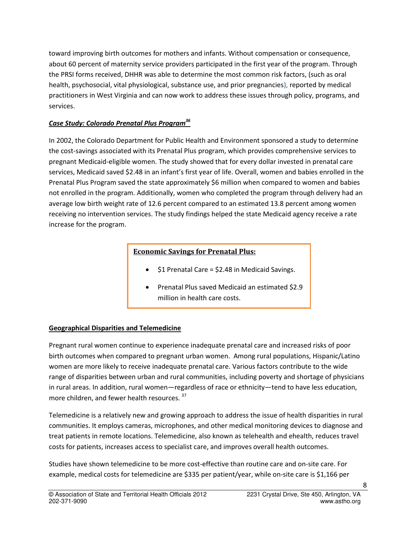toward improving birth outcomes for mothers and infants. Without compensation or consequence, about 60 percent of maternity service providers participated in the first year of the program. Through the PRSI forms received, DHHR was able to determine the most common risk factors, (such as oral health, psychosocial, vital physiological, substance use, and prior pregnancies), reported by medical practitioners in West Virginia and can now work to address these issues through policy, programs, and services.

# *Case Study: Colorado Prenatal Plus Program<sup>36</sup>*

In 2002, the Colorado Department for Public Health and Environment sponsored a study to determine the cost-savings associated with its Prenatal Plus program, which provides comprehensive services to pregnant Medicaid-eligible women. The study showed that for every dollar invested in prenatal care services, Medicaid saved \$2.48 in an infant's first year of life. Overall, women and babies enrolled in the Prenatal Plus Program saved the state approximately \$6 million when compared to women and babies not enrolled in the program. Additionally, women who completed the program through delivery had an average low birth weight rate of 12.6 percent compared to an estimated 13.8 percent among women receiving no intervention services. The study findings helped the state Medicaid agency receive a rate increase for the program.

# **Economic Savings for Prenatal Plus:**

- \$1 Prenatal Care = \$2.48 in Medicaid Savings.
- Prenatal Plus saved Medicaid an estimated \$2.9 million in health care costs.

# **Geographical Disparities and Telemedicine**

Pregnant rural women continue to experience inadequate prenatal care and increased risks of poor birth outcomes when compared to pregnant urban women. Among rural populations, Hispanic/Latino women are more likely to receive inadequate prenatal care. Various factors contribute to the wide range of disparities between urban and rural communities, including poverty and shortage of physicians in rural areas. In addition, rural women—regardless of race or ethnicity—tend to have less education, more children, and fewer health resources. <sup>37</sup>

Telemedicine is a relatively new and growing approach to address the issue of health disparities in rural communities. It employs cameras, microphones, and other medical monitoring devices to diagnose and treat patients in remote locations. Telemedicine, also known as telehealth and ehealth, reduces travel costs for patients, increases access to specialist care, and improves overall health outcomes.

Studies have shown telemedicine to be more cost-effective than routine care and on-site care. For example, medical costs for telemedicine are \$335 per patient/year, while on-site care is \$1,166 per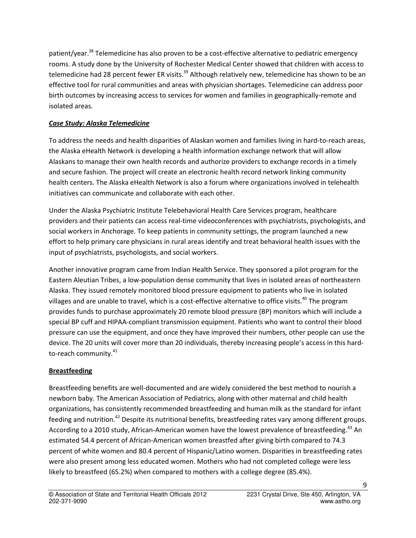patient/year.<sup>38</sup> Telemedicine has also proven to be a cost-effective alternative to pediatric emergency rooms. A study done by the University of Rochester Medical Center showed that children with access to telemedicine had 28 percent fewer ER visits.<sup>39</sup> Although relatively new, telemedicine has shown to be an effective tool for rural communities and areas with physician shortages. Telemedicine can address poor birth outcomes by increasing access to services for women and families in geographically-remote and isolated areas.

### *Case Study: Alaska Telemedicine*

To address the needs and health disparities of Alaskan women and families living in hard-to-reach areas, the Alaska eHealth Network is developing a health information exchange network that will allow Alaskans to manage their own health records and authorize providers to exchange records in a timely and secure fashion. The project will create an electronic health record network linking community health centers. The Alaska eHealth Network is also a forum where organizations involved in telehealth initiatives can communicate and collaborate with each other.

Under the Alaska Psychiatric Institute Telebehavioral Health Care Services program, healthcare providers and their patients can access real-time videoconferences with psychiatrists, psychologists, and social workers in Anchorage. To keep patients in community settings, the program launched a new effort to help primary care physicians in rural areas identify and treat behavioral health issues with the input of psychiatrists, psychologists, and social workers.

Another innovative program came from Indian Health Service. They sponsored a pilot program for the Eastern Aleutian Tribes, a low-population dense community that lives in isolated areas of northeastern Alaska. They issued remotely monitored blood pressure equipment to patients who live in isolated villages and are unable to travel, which is a cost-effective alternative to office visits.<sup>40</sup> The program provides funds to purchase approximately 20 remote blood pressure (BP) monitors which will include a special BP cuff and HIPAA-compliant transmission equipment. Patients who want to control their blood pressure can use the equipment, and once they have improved their numbers, other people can use the device. The 20 units will cover more than 20 individuals, thereby increasing people's access in this hardto-reach community.<sup>41</sup>

#### **Breastfeeding**

Breastfeeding benefits are well-documented and are widely considered the best method to nourish a newborn baby. The American Association of Pediatrics, along with other maternal and child health organizations, has consistently recommended breastfeeding and human milk as the standard for infant feeding and nutrition.<sup>42</sup> Despite its nutritional benefits, breastfeeding rates vary among different groups. According to a 2010 study, African-American women have the lowest prevalence of breastfeeding.<sup>43</sup> An estimated 54.4 percent of African-American women breastfed after giving birth compared to 74.3 percent of white women and 80.4 percent of Hispanic/Latino women. Disparities in breastfeeding rates were also present among less educated women. Mothers who had not completed college were less likely to breastfeed (65.2%) when compared to mothers with a college degree (85.4%).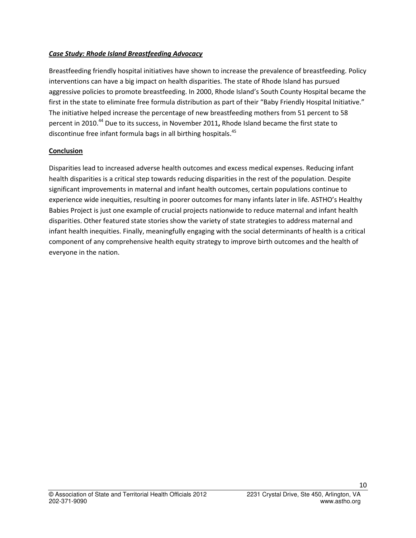#### *Case Study: Rhode Island Breastfeeding Advocacy*

Breastfeeding friendly hospital initiatives have shown to increase the prevalence of breastfeeding. Policy interventions can have a big impact on health disparities. The state of Rhode Island has pursued aggressive policies to promote breastfeeding. In 2000, Rhode Island's South County Hospital became the first in the state to eliminate free formula distribution as part of their "Baby Friendly Hospital Initiative." The initiative helped increase the percentage of new breastfeeding mothers from 51 percent to 58 percent in 2010.<sup>44</sup> Due to its success, in November 2011**,** Rhode Island became the first state to discontinue free infant formula bags in all birthing hospitals.<sup>45</sup>

#### **Conclusion**

Disparities lead to increased adverse health outcomes and excess medical expenses. Reducing infant health disparities is a critical step towards reducing disparities in the rest of the population. Despite significant improvements in maternal and infant health outcomes, certain populations continue to experience wide inequities, resulting in poorer outcomes for many infants later in life. ASTHO's Healthy Babies Project is just one example of crucial projects nationwide to reduce maternal and infant health disparities. Other featured state stories show the variety of state strategies to address maternal and infant health inequities. Finally, meaningfully engaging with the social determinants of health is a critical component of any comprehensive health equity strategy to improve birth outcomes and the health of everyone in the nation.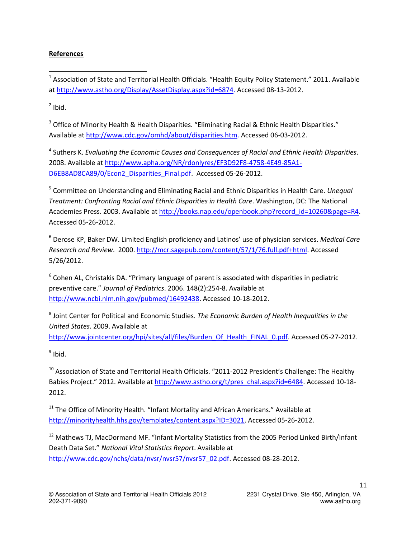#### **References**

 $^1$  Association of State and Territorial Health Officials. "Health Equity Policy Statement." 2011. Available a[t http://www.astho.org/Display/AssetDisplay.aspx?id=6874.](http://www.astho.org/Display/AssetDisplay.aspx?id=6874) Accessed 08-13-2012.

 $2$  Ibid.

 $\overline{a}$ 

<sup>3</sup> Office of Minority Health & Health Disparities. "Eliminating Racial & Ethnic Health Disparities." Available a[t http://www.cdc.gov/omhd/about/disparities.htm.](http://www.cdc.gov/omhd/about/disparities.htm) Accessed 06-03-2012.

4 Suthers K. *Evaluating the Economic Causes and Consequences of Racial and Ethnic Health Disparities*. 2008. Available at [http://www.apha.org/NR/rdonlyres/EF3D92F8-4758-4E49-85A1-](http://www.apha.org/NR/rdonlyres/EF3D92F8-4758-4E49-85A1-D6EB8AD8CA89/0/Econ2_Disparities_Final.pdf) [D6EB8AD8CA89/0/Econ2\\_Disparities\\_Final.pdf.](http://www.apha.org/NR/rdonlyres/EF3D92F8-4758-4E49-85A1-D6EB8AD8CA89/0/Econ2_Disparities_Final.pdf) Accessed 05-26-2012.

5 Committee on Understanding and Eliminating Racial and Ethnic Disparities in Health Care. *Unequal Treatment: Confronting Racial and Ethnic Disparities in Health Care*. Washington, DC: The National Academies Press. 2003. Available at [http://books.nap.edu/openbook.php?record\\_id=10260&page=R4.](http://books.nap.edu/openbook.php?record_id=10260&page=R4) Accessed 05-26-2012.

<sup>6</sup> Derose KP, Baker DW. Limited English proficiency and Latinos' use of physician services. *Medical Care Research and Review*. 2000. [http://mcr.sagepub.com/content/57/1/76.full.pdf+html.](http://mcr.sagepub.com/content/57/1/76.full.pdf+html) Accessed 5/26/2012.

 $^6$  Cohen AL, Christakis DA. "Primary language of parent is associated with disparities in pediatric preventive care." *Journal of Pediatrics*. 2006. 148(2):254-8. Available at [http://www.ncbi.nlm.nih.gov/pubmed/16492438.](http://www.ncbi.nlm.nih.gov/pubmed/16492438) Accessed 10-18-2012.

8 Joint Center for Political and Economic Studies. *The Economic Burden of Health Inequalities in the United States*. 2009. Available at

[http://www.jointcenter.org/hpi/sites/all/files/Burden\\_Of\\_Health\\_FINAL\\_0.pdf.](http://www.jointcenter.org/hpi/sites/all/files/Burden_Of_Health_FINAL_0.pdf) Accessed 05-27-2012.

<sup>9</sup> Ibid.

 $10$  Association of State and Territorial Health Officials. "2011-2012 President's Challenge: The Healthy Babies Project." 2012. Available a[t http://www.astho.org/t/pres\\_chal.aspx?id=6484.](http://www.astho.org/t/pres_chal.aspx?id=6484) Accessed 10-18-2012.

 $11$  The Office of Minority Health. "Infant Mortality and African Americans." Available at [http://minorityhealth.hhs.gov/templates/content.aspx?ID=3021.](http://minorityhealth.hhs.gov/templates/content.aspx?ID=3021) Accessed 05-26-2012.

<sup>12</sup> Mathews TJ, MacDormand MF. "Infant Mortality Statistics from the 2005 Period Linked Birth/Infant Death Data Set." *National Vital Statistics Report*. Available at [http://www.cdc.gov/nchs/data/nvsr/nvsr57/nvsr57\\_02.pdf.](http://www.cdc.gov/nchs/data/nvsr/nvsr57/nvsr57_02.pdf) Accessed 08-28-2012.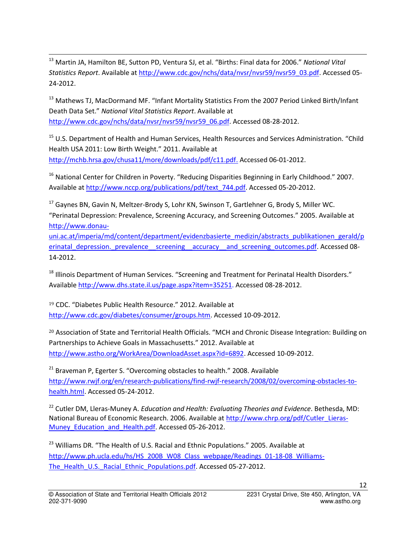<sup>13</sup> Martin JA, Hamilton BE, Sutton PD, Ventura SJ, et al. "Births: Final data for 2006." *National Vital Statistics Report*. Available at [http://www.cdc.gov/nchs/data/nvsr/nvsr59/nvsr59\\_03.pdf.](http://www.cdc.gov/nchs/data/nvsr/nvsr59/nvsr59_03.pdf) Accessed 05- 24-2012.

 $\overline{a}$ 

<sup>13</sup> Mathews TJ, MacDormand MF. "Infant Mortality Statistics From the 2007 Period Linked Birth/Infant Death Data Set." *National Vital Statistics Report*. Available at [http://www.cdc.gov/nchs/data/nvsr/nvsr59/nvsr59\\_06.pdf.](http://www.cdc.gov/nchs/data/nvsr/nvsr59/nvsr59_06.pdf) Accessed 08-28-2012.

<sup>15</sup> U.S. Department of Health and Human Services, Health Resources and Services Administration. "Child Health USA 2011: Low Birth Weight." 2011. Available at [http://mchb.hrsa.gov/chusa11/more/downloads/pdf/c11.pdf.](http://mchb.hrsa.gov/chusa11/more/downloads/pdf/c11.pdf) Accessed 06-01-2012.

<sup>16</sup> National Center for Children in Poverty. "Reducing Disparities Beginning in Early Childhood." 2007. Available a[t http://www.nccp.org/publications/pdf/text\\_744.pdf.](http://www.nccp.org/publications/pdf/text_744.pdf) Accessed 05-20-2012.

<sup>17</sup> Gaynes BN, Gavin N, Meltzer-Brody S, Lohr KN, Swinson T, Gartlehner G, Brody S, Miller WC. "Perinatal Depression: Prevalence, Screening Accuracy, and Screening Outcomes." 2005. Available at [http://www.donau-](http://www.donau-uni.ac.at/imperia/md/content/department/evidenzbasierte_medizin/abstracts_publikationen_gerald/perinatal_depression._prevalence__screening__accuracy__and_screening_outcomes.pdf)

[uni.ac.at/imperia/md/content/department/evidenzbasierte\\_medizin/abstracts\\_publikationen\\_gerald/p](http://www.donau-uni.ac.at/imperia/md/content/department/evidenzbasierte_medizin/abstracts_publikationen_gerald/perinatal_depression._prevalence__screening__accuracy__and_screening_outcomes.pdf) [erinatal\\_depression.\\_prevalence\\_\\_screening\\_\\_accuracy\\_\\_and\\_screening\\_outcomes.pdf.](http://www.donau-uni.ac.at/imperia/md/content/department/evidenzbasierte_medizin/abstracts_publikationen_gerald/perinatal_depression._prevalence__screening__accuracy__and_screening_outcomes.pdf) Accessed 08-14-2012.

<sup>18</sup> Illinois Department of Human Services. "Screening and Treatment for Perinatal Health Disorders." Available [http://www.dhs.state.il.us/page.aspx?item=35251.](http://www.dhs.state.il.us/page.aspx?item=35251) Accessed 08-28-2012.

<sup>19</sup> CDC. "Diabetes Public Health Resource." 2012. Available at [http://www.cdc.gov/diabetes/consumer/groups.htm.](http://www.cdc.gov/diabetes/consumer/groups.htm) Accessed 10-09-2012.

<sup>20</sup> Association of State and Territorial Health Officials. "MCH and Chronic Disease Integration: Building on Partnerships to Achieve Goals in Massachusetts." 2012. Available at [http://www.astho.org/WorkArea/DownloadAsset.aspx?id=6892.](http://www.astho.org/WorkArea/DownloadAsset.aspx?id=6892) Accessed 10-09-2012.

 $21$  Braveman P, Egerter S. "Overcoming obstacles to health." 2008. Available [http://www.rwjf.org/en/research-publications/find-rwjf-research/2008/02/overcoming-obstacles-to](http://www.rwjf.org/en/research-publications/find-rwjf-research/2008/02/overcoming-obstacles-to-health.html)[health.html.](http://www.rwjf.org/en/research-publications/find-rwjf-research/2008/02/overcoming-obstacles-to-health.html) Accessed 05-24-2012.

<sup>22</sup> Cutler DM, Lleras-Muney A. *Education and Health: Evaluating Theories and Evidence*. Bethesda, MD: National Bureau of Economic Research. 2006. Available a[t http://www.chrp.org/pdf/Cutler\\_Lieras-](http://www.chrp.org/pdf/Cutler_Lieras-Muney_Education_and_Health.pdf)Muney Education and Health.pdf. Accessed 05-26-2012.

<sup>23</sup> Williams DR. "The Health of U.S. Racial and Ethnic Populations." 2005. Available at [http://www.ph.ucla.edu/hs/HS\\_200B\\_W08\\_Class\\_webpage/Readings\\_01-18-08\\_Williams-](http://www.ph.ucla.edu/hs/HS_200B_W08_Class_webpage/Readings_01-18-08_Williams-The_Health_U.S._Racial_Ethnic_Populations.pdf)The Health U.S. Racial Ethnic Populations.pdf. Accessed 05-27-2012.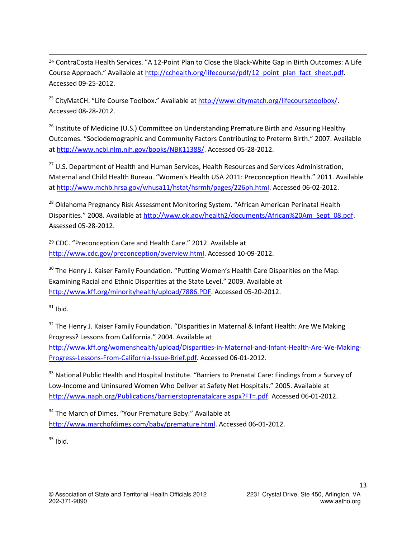<sup>24</sup> ContraCosta Health Services. "A 12-Point Plan to Close the Black-White Gap in Birth Outcomes: A Life Course Approach." Available at [http://cchealth.org/lifecourse/pdf/12\\_point\\_plan\\_fact\\_sheet.pdf.](http://cchealth.org/lifecourse/pdf/12_point_plan_fact_sheet.pdf) Accessed 09-25-2012.

<sup>25</sup> CityMatCH. "Life Course Toolbox." Available at [http://www.citymatch.org/lifecoursetoolbox/.](http://www.citymatch.org/lifecoursetoolbox/) Accessed 08-28-2012.

 $26$  Institute of Medicine (U.S.) Committee on Understanding Premature Birth and Assuring Healthy Outcomes. "Sociodemographic and Community Factors Contributing to Preterm Birth." 2007. Available a[t http://www.ncbi.nlm.nih.gov/books/NBK11388/.](http://www.ncbi.nlm.nih.gov/books/NBK11388/) Accessed 05-28-2012.

<sup>27</sup> U.S. Department of Health and Human Services, Health Resources and Services Administration, Maternal and Child Health Bureau. "Women's Health USA 2011: Preconception Health." 2011. Available a[t http://www.mchb.hrsa.gov/whusa11/hstat/hsrmh/pages/226ph.html.](http://www.mchb.hrsa.gov/whusa11/hstat/hsrmh/pages/226ph.html) Accessed 06-02-2012.

<sup>28</sup> Oklahoma Pregnancy Risk Assessment Monitoring System. "African American Perinatal Health Disparities." 2008. Available at [http://www.ok.gov/health2/documents/African%20Am\\_Sept\\_08.pdf.](http://www.ok.gov/health2/documents/African%20Am_Sept_08.pdf) Assessed 05-28-2012.

<sup>29</sup> CDC. "Preconception Care and Health Care." 2012. Available at [http://www.cdc.gov/preconception/overview.html.](http://www.cdc.gov/preconception/overview.html) Accessed 10-09-2012.

 $30$  The Henry J. Kaiser Family Foundation. "Putting Women's Health Care Disparities on the Map: Examining Racial and Ethnic Disparities at the State Level." 2009. Available at [http://www.kff.org/minorityhealth/upload/7886.PDF.](http://www.kff.org/minorityhealth/upload/7886.PDF) Accessed 05-20-2012.

 $31$  Ibid.

 $\overline{a}$ 

<sup>32</sup> The Henry J. Kaiser Family Foundation. "Disparities in Maternal & Infant Health: Are We Making Progress? Lessons from California." 2004. Available at [http://www.kff.org/womenshealth/upload/Disparities-in-Maternal-and-Infant-Health-Are-We-Making-](http://www.kff.org/womenshealth/upload/Disparities-in-Maternal-and-Infant-Health-Are-We-Making-Progress-Lessons-From-California-Issue-Brief.pdf)[Progress-Lessons-From-California-Issue-Brief.pdf.](http://www.kff.org/womenshealth/upload/Disparities-in-Maternal-and-Infant-Health-Are-We-Making-Progress-Lessons-From-California-Issue-Brief.pdf) Accessed 06-01-2012.

<sup>33</sup> National Public Health and Hospital Institute. "Barriers to Prenatal Care: Findings from a Survey of Low-Income and Uninsured Women Who Deliver at Safety Net Hospitals." 2005. Available at [http://www.naph.org/Publications/barrierstoprenatalcare.aspx?FT=.pdf.](http://www.naph.org/Publications/barrierstoprenatalcare.aspx?FT=.pdf) Accessed 06-01-2012.

<sup>34</sup> The March of Dimes. "Your Premature Baby." Available at [http://www.marchofdimes.com/baby/premature.html.](http://www.marchofdimes.com/baby/premature.html) Accessed 06-01-2012.

 $35$  Ibid.